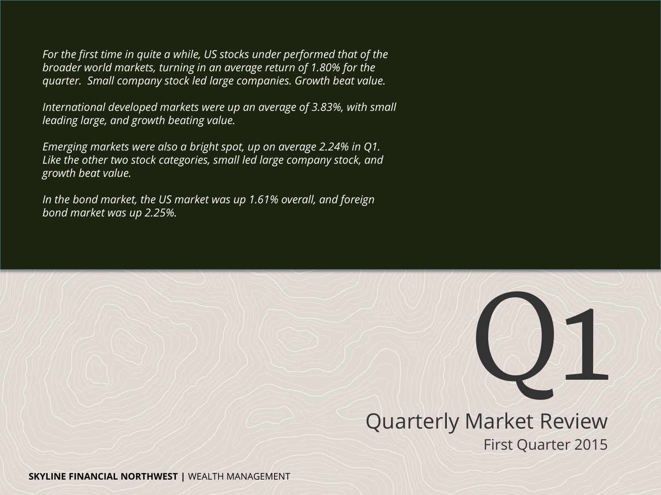*For the first time in quite a while, US stocks under performed that of the broader world markets, turning in an average return of 1.80% for the quarter. Small company stock led large companies. Growth beat value.*

*International developed markets were up an average of 3.83%, with small leading large, and growth beating value.*

*Emerging markets were also a bright spot, up on average 2.24% in Q1. Like the other two stock categories, small led large company stock, and growth beat value.*

*In the bond market, the US market was up 1.61% overall, and foreign bond market was up 2.25%.*



Quarterly Market Review First Quarter 2015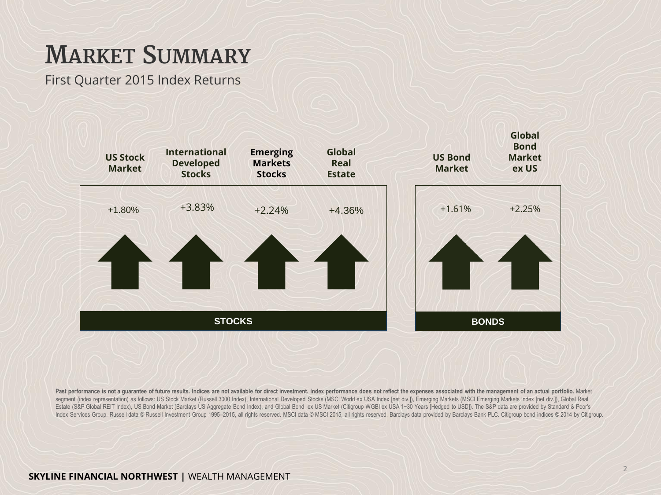## **MARKET SUMMARY**

First Quarter 2015 Index Returns



Past performance is not a guarantee of future results. Indices are not available for direct investment. Index performance does not reflect the expenses associated with the management of an actual portfolio. Market segment (index representation) as follows: US Stock Market (Russell 3000 Index), International Developed Stocks (MSCI World ex USA Index [net div.]), Emerging Markets (MSCI Emerging Markets Index [net div.]), Global Real Estate (S&P Global REIT Index), US Bond Market (Barclays US Aggregate Bond Index), and Global Bond ex US Market (Citigroup WGBI ex USA 1−30 Years [Hedged to USD]). The S&P data are provided by Standard & Poor's Index Services Group. Russell data @ Russell Investment Group 1995-2015, all rights reserved. MSCI data @ MSCI 2015, all rights reserved. Barclays data provided by Barclays Bank PLC. Citigroup bond indices @ 2014 by Citigr

### **SKYLINE FINANCIAL NORTHWEST |** WEALTH MANAGEMENT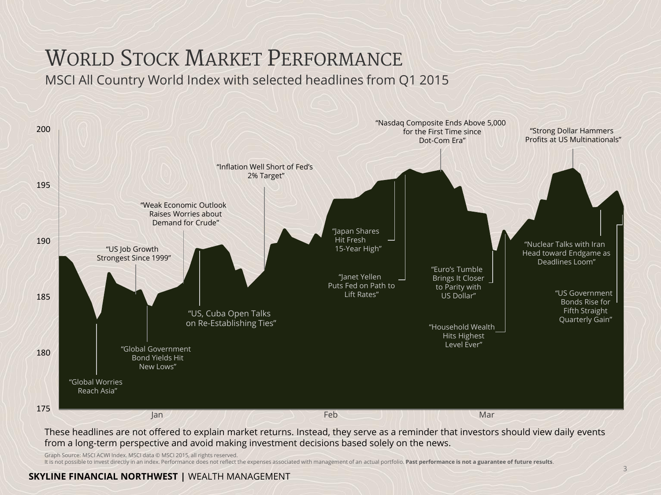# WORLD STOCK MARKET PERFORMANCE

MSCI All Country World Index with selected headlines from Q1 2015



These headlines are not offered to explain market returns. Instead, they serve as a reminder that investors should view daily events from a long-term perspective and avoid making investment decisions based solely on the news.

Graph Source: MSCI ACWI Index. MSCI data © MSCI 2015, all rights reserved.<br>It is not possible to invest directly in an index. Performance does not reflect the expenses associated with management of an actual portfolio. **Pa** 

**SKYLINE FINANCIAL NORTHWEST |** WEALTH MANAGEMENT